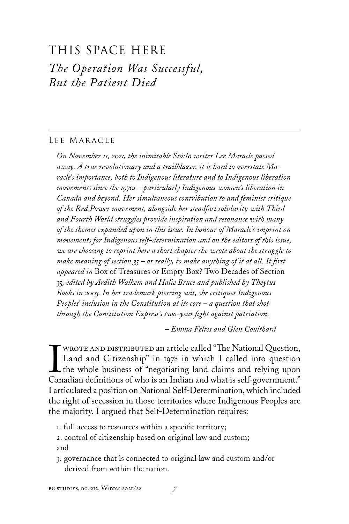## This Space HEre *The Operation Was Successful, But the Patient Died*

## Lee Maracle

*On November 11, 2021, the inimitable Stó:l*ō *writer Lee Maracle passed away. A true revolutionary and a trailblazer, it is hard to overstate Maracle's importance, both to Indigenous literature and to Indigenous liberation movements since the 1970s – particularly Indigenous women's liberation in Canada and beyond. Her simultaneous contribution to and feminist critique of the Red Power movement, alongside her steadfast solidarity with Third and Fourth World struggles provide inspiration and resonance with many of the themes expanded upon in this issue. In honour of Maracle's imprint on movements for Indigenous self-determination and on the editors of this issue, we are choosing to reprint here a short chapter she wrote about the struggle to make meaning of section 35 – or really, to make anything of it at all. It first appeared in* Box of Treasures or Empty Box? Two Decades of Section 35*, edited by Ardith Walkem and Halie Bruce and published by Theytus Books in 2003. In her trademark piercing wit, she critiques Indigenous Peoples' inclusion in the Constitution at its core – a question that shot through the Constitution Express's two-year fight against patriation.*

*– Emma Feltes and Glen Coulthard*

I WROTE AND DISTRIBUTED an article called "The National Question,<br>Land and Citizenship" in 1978 in which I called into question<br>the whole business of "negotiating land claims and relying upon<br>Canadian definitions of who is Land and Citizenship" in 1978 in which I called into question L the whole business of "negotiating land claims and relying upon Canadian definitions of who is an Indian and what is self-government." I articulated a position on National Self-Determination, which included the right of secession in those territories where Indigenous Peoples are the majority. I argued that Self-Determination requires:

1. full access to resources within a specific territory;

2. control of citizenship based on original law and custom; and

3. governance that is connected to original law and custom and/or derived from within the nation.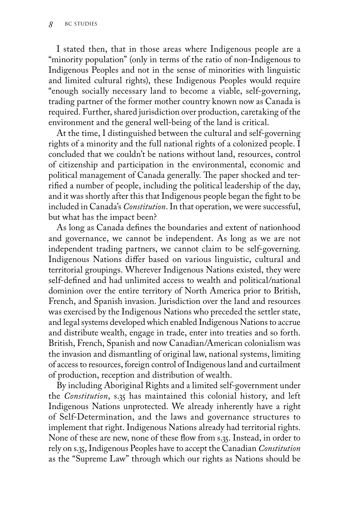I stated then, that in those areas where Indigenous people are a "minority population" (only in terms of the ratio of non-Indigenous to Indigenous Peoples and not in the sense of minorities with linguistic and limited cultural rights), these Indigenous Peoples would require "enough socially necessary land to become a viable, self-governing, trading partner of the former mother country known now as Canada is required. Further, shared jurisdiction over production, caretaking of the environment and the general well-being of the land is critical.

At the time, I distinguished between the cultural and self-governing rights of a minority and the full national rights of a colonized people. I concluded that we couldn't be nations without land, resources, control of citizenship and participation in the environmental, economic and political management of Canada generally. The paper shocked and terrified a number of people, including the political leadership of the day, and it was shortly after this that Indigenous people began the fight to be included in Canada's *Constitution*. In that operation, we were successful, but what has the impact been?

As long as Canada defines the boundaries and extent of nationhood and governance, we cannot be independent. As long as we are not independent trading partners, we cannot claim to be self-governing. Indigenous Nations differ based on various linguistic, cultural and territorial groupings. Wherever Indigenous Nations existed, they were self-defined and had unlimited access to wealth and political/national dominion over the entire territory of North America prior to British, French, and Spanish invasion. Jurisdiction over the land and resources was exercised by the Indigenous Nations who preceded the settler state, and legal systems developed which enabled Indigenous Nations to accrue and distribute wealth, engage in trade, enter into treaties and so forth. British, French, Spanish and now Canadian/American colonialism was the invasion and dismantling of original law, national systems, limiting of access to resources, foreign control of Indigenous land and curtailment of production, reception and distribution of wealth.

By including Aboriginal Rights and a limited self-government under the *Constitution*, s.35 has maintained this colonial history, and left Indigenous Nations unprotected. We already inherently have a right of Self-Determination, and the laws and governance structures to implement that right. Indigenous Nations already had territorial rights. None of these are new, none of these flow from s.35. Instead, in order to rely on s.35, Indigenous Peoples have to accept the Canadian *Constitution* as the "Supreme Law" through which our rights as Nations should be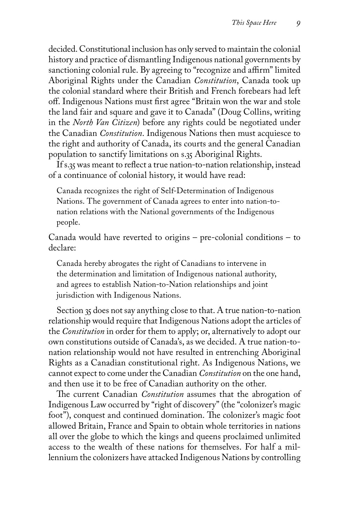decided. Constitutional inclusion has only served to maintain the colonial history and practice of dismantling Indigenous national governments by sanctioning colonial rule. By agreeing to "recognize and affirm" limited Aboriginal Rights under the Canadian *Constitution*, Canada took up the colonial standard where their British and French forebears had left off. Indigenous Nations must first agree "Britain won the war and stole the land fair and square and gave it to Canada" (Doug Collins, writing in the *North Van Citizen*) before any rights could be negotiated under the Canadian *Constitution*. Indigenous Nations then must acquiesce to the right and authority of Canada, its courts and the general Canadian population to sanctify limitations on s.35 Aboriginal Rights.

If s.35 was meant to reflect a true nation-to-nation relationship, instead of a continuance of colonial history, it would have read:

Canada recognizes the right of Self-Determination of Indigenous Nations. The government of Canada agrees to enter into nation-tonation relations with the National governments of the Indigenous people.

Canada would have reverted to origins – pre-colonial conditions – to declare:

Canada hereby abrogates the right of Canadians to intervene in the determination and limitation of Indigenous national authority, and agrees to establish Nation-to-Nation relationships and joint jurisdiction with Indigenous Nations.

Section 35 does not say anything close to that. A true nation-to-nation relationship would require that Indigenous Nations adopt the articles of the *Constitution* in order for them to apply; or, alternatively to adopt our own constitutions outside of Canada's, as we decided. A true nation-tonation relationship would not have resulted in entrenching Aboriginal Rights as a Canadian constitutional right. As Indigenous Nations, we cannot expect to come under the Canadian *Constitution* on the one hand, and then use it to be free of Canadian authority on the other.

The current Canadian *Constitution* assumes that the abrogation of Indigenous Law occurred by "right of discovery" (the "colonizer's magic foot"), conquest and continued domination. The colonizer's magic foot allowed Britain, France and Spain to obtain whole territories in nations all over the globe to which the kings and queens proclaimed unlimited access to the wealth of these nations for themselves. For half a millennium the colonizers have attacked Indigenous Nations by controlling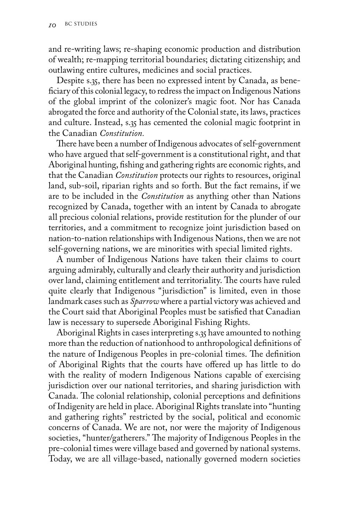and re-writing laws; re-shaping economic production and distribution of wealth; re-mapping territorial boundaries; dictating citizenship; and outlawing entire cultures, medicines and social practices.

Despite s.35, there has been no expressed intent by Canada, as beneficiary of this colonial legacy, to redress the impact on Indigenous Nations of the global imprint of the colonizer's magic foot. Nor has Canada abrogated the force and authority of the Colonial state, its laws, practices and culture. Instead, s.35 has cemented the colonial magic footprint in the Canadian *Constitution.*

There have been a number of Indigenous advocates of self-government who have argued that self-government is a constitutional right, and that Aboriginal hunting, fishing and gathering rights are economic rights, and that the Canadian *Constitution* protects our rights to resources, original land, sub-soil, riparian rights and so forth. But the fact remains, if we are to be included in the *Constitution* as anything other than Nations recognized by Canada, together with an intent by Canada to abrogate all precious colonial relations, provide restitution for the plunder of our territories, and a commitment to recognize joint jurisdiction based on nation-to-nation relationships with Indigenous Nations, then we are not self-governing nations, we are minorities with special limited rights.

A number of Indigenous Nations have taken their claims to court arguing admirably, culturally and clearly their authority and jurisdiction over land, claiming entitlement and territoriality. The courts have ruled quite clearly that Indigenous "jurisdiction" is limited, even in those landmark cases such as *Sparrow* where a partial victory was achieved and the Court said that Aboriginal Peoples must be satisfied that Canadian law is necessary to supersede Aboriginal Fishing Rights.

Aboriginal Rights in cases interpreting s.35 have amounted to nothing more than the reduction of nationhood to anthropological definitions of the nature of Indigenous Peoples in pre-colonial times. The definition of Aboriginal Rights that the courts have offered up has little to do with the reality of modern Indigenous Nations capable of exercising jurisdiction over our national territories, and sharing jurisdiction with Canada. The colonial relationship, colonial perceptions and definitions of Indigenity are held in place. Aboriginal Rights translate into "hunting and gathering rights" restricted by the social, political and economic concerns of Canada. We are not, nor were the majority of Indigenous societies, "hunter/gatherers." The majority of Indigenous Peoples in the pre-colonial times were village based and governed by national systems. Today, we are all village-based, nationally governed modern societies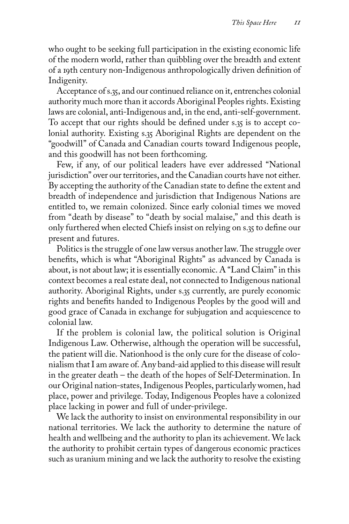who ought to be seeking full participation in the existing economic life of the modern world, rather than quibbling over the breadth and extent of a 19th century non-Indigenous anthropologically driven definition of Indigenity.

Acceptance of s.35, and our continued reliance on it, entrenches colonial authority much more than it accords Aboriginal Peoples rights. Existing laws are colonial, anti-Indigenous and, in the end, anti-self-government. To accept that our rights should be defined under s.35 is to accept colonial authority. Existing s.35 Aboriginal Rights are dependent on the "goodwill" of Canada and Canadian courts toward Indigenous people, and this goodwill has not been forthcoming.

Few, if any, of our political leaders have ever addressed "National jurisdiction" over our territories, and the Canadian courts have not either. By accepting the authority of the Canadian state to define the extent and breadth of independence and jurisdiction that Indigenous Nations are entitled to, we remain colonized. Since early colonial times we moved from "death by disease" to "death by social malaise," and this death is only furthered when elected Chiefs insist on relying on s.35 to define our present and futures.

Politics is the struggle of one law versus another law. The struggle over benefits, which is what "Aboriginal Rights" as advanced by Canada is about, is not about law; it is essentially economic. A "Land Claim" in this context becomes a real estate deal, not connected to Indigenous national authority. Aboriginal Rights, under s.35 currently, are purely economic rights and benefits handed to Indigenous Peoples by the good will and good grace of Canada in exchange for subjugation and acquiescence to colonial law.

If the problem is colonial law, the political solution is Original Indigenous Law. Otherwise, although the operation will be successful, the patient will die. Nationhood is the only cure for the disease of colonialism that I am aware of. Any band-aid applied to this disease will result in the greater death – the death of the hopes of Self-Determination. In our Original nation-states, Indigenous Peoples, particularly women, had place, power and privilege. Today, Indigenous Peoples have a colonized place lacking in power and full of under-privilege.

We lack the authority to insist on environmental responsibility in our national territories. We lack the authority to determine the nature of health and wellbeing and the authority to plan its achievement. We lack the authority to prohibit certain types of dangerous economic practices such as uranium mining and we lack the authority to resolve the existing